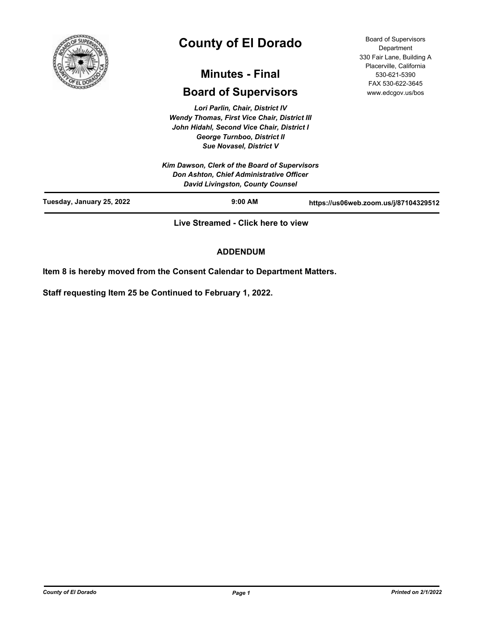

# **County of El Dorado**

# **Minutes - Final**

# **Board of Supervisors**

*Lori Parlin, Chair, District IV Wendy Thomas, First Vice Chair, District III John Hidahl, Second Vice Chair, District I George Turnboo, District II Sue Novasel, District V*

|                           | Kim Dawson, Clerk of the Board of Supervisors<br><b>Don Ashton, Chief Administrative Officer</b> |                                       |
|---------------------------|--------------------------------------------------------------------------------------------------|---------------------------------------|
|                           | <b>David Livingston, County Counsel</b>                                                          |                                       |
| Tuesday, January 25, 2022 | $9:00$ AM                                                                                        | https://us06web.zoom.us/j/87104329512 |

**Live Streamed - Click here to view**

# **ADDENDUM**

**Item 8 is hereby moved from the Consent Calendar to Department Matters.**

**Staff requesting Item 25 be Continued to February 1, 2022.**

Board of Supervisors **Department** 330 Fair Lane, Building A Placerville, California 530-621-5390 FAX 530-622-3645 www.edcgov.us/bos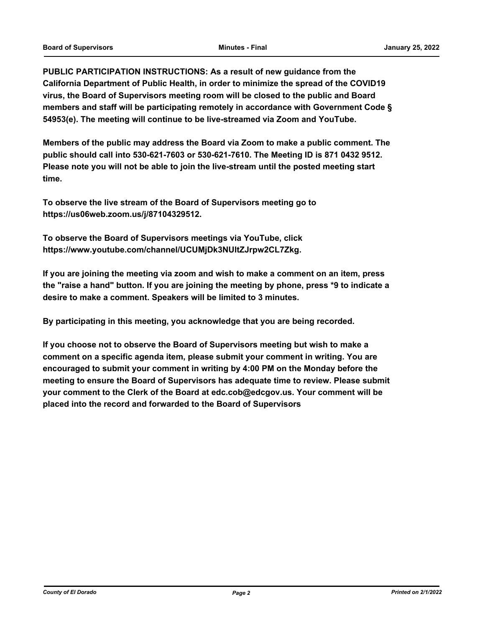**PUBLIC PARTICIPATION INSTRUCTIONS: As a result of new guidance from the California Department of Public Health, in order to minimize the spread of the COVID19 virus, the Board of Supervisors meeting room will be closed to the public and Board members and staff will be participating remotely in accordance with Government Code § 54953(e). The meeting will continue to be live-streamed via Zoom and YouTube.**

**Members of the public may address the Board via Zoom to make a public comment. The public should call into 530-621-7603 or 530-621-7610. The Meeting ID is 871 0432 9512. Please note you will not be able to join the live-stream until the posted meeting start time.**

**To observe the live stream of the Board of Supervisors meeting go to https://us06web.zoom.us/j/87104329512.**

**To observe the Board of Supervisors meetings via YouTube, click https://www.youtube.com/channel/UCUMjDk3NUltZJrpw2CL7Zkg.**

**If you are joining the meeting via zoom and wish to make a comment on an item, press the "raise a hand" button. If you are joining the meeting by phone, press \*9 to indicate a desire to make a comment. Speakers will be limited to 3 minutes.**

**By participating in this meeting, you acknowledge that you are being recorded.**

**If you choose not to observe the Board of Supervisors meeting but wish to make a comment on a specific agenda item, please submit your comment in writing. You are encouraged to submit your comment in writing by 4:00 PM on the Monday before the meeting to ensure the Board of Supervisors has adequate time to review. Please submit your comment to the Clerk of the Board at edc.cob@edcgov.us. Your comment will be placed into the record and forwarded to the Board of Supervisors**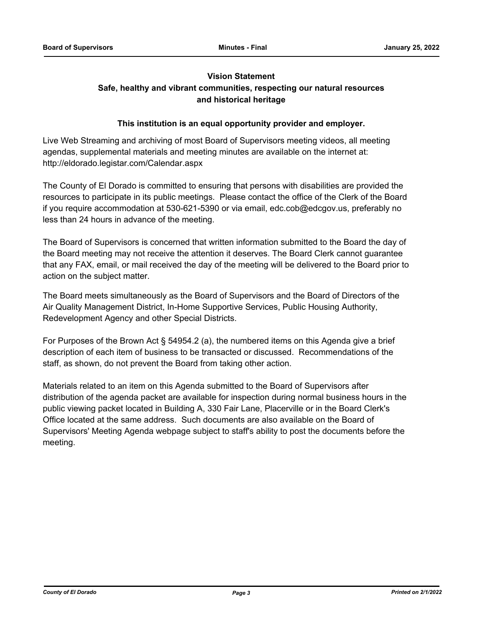# **Vision Statement Safe, healthy and vibrant communities, respecting our natural resources**

# **and historical heritage**

# **This institution is an equal opportunity provider and employer.**

Live Web Streaming and archiving of most Board of Supervisors meeting videos, all meeting agendas, supplemental materials and meeting minutes are available on the internet at: http://eldorado.legistar.com/Calendar.aspx

The County of El Dorado is committed to ensuring that persons with disabilities are provided the resources to participate in its public meetings. Please contact the office of the Clerk of the Board if you require accommodation at 530-621-5390 or via email, edc.cob@edcgov.us, preferably no less than 24 hours in advance of the meeting.

The Board of Supervisors is concerned that written information submitted to the Board the day of the Board meeting may not receive the attention it deserves. The Board Clerk cannot guarantee that any FAX, email, or mail received the day of the meeting will be delivered to the Board prior to action on the subject matter.

The Board meets simultaneously as the Board of Supervisors and the Board of Directors of the Air Quality Management District, In-Home Supportive Services, Public Housing Authority, Redevelopment Agency and other Special Districts.

For Purposes of the Brown Act § 54954.2 (a), the numbered items on this Agenda give a brief description of each item of business to be transacted or discussed. Recommendations of the staff, as shown, do not prevent the Board from taking other action.

Materials related to an item on this Agenda submitted to the Board of Supervisors after distribution of the agenda packet are available for inspection during normal business hours in the public viewing packet located in Building A, 330 Fair Lane, Placerville or in the Board Clerk's Office located at the same address. Such documents are also available on the Board of Supervisors' Meeting Agenda webpage subject to staff's ability to post the documents before the meeting.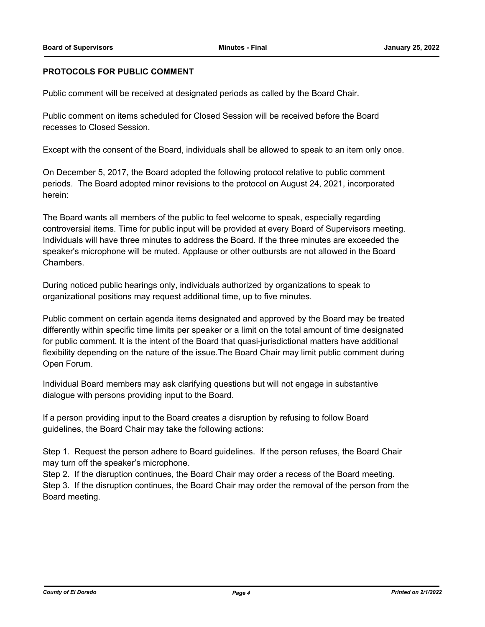# **PROTOCOLS FOR PUBLIC COMMENT**

Public comment will be received at designated periods as called by the Board Chair.

Public comment on items scheduled for Closed Session will be received before the Board recesses to Closed Session.

Except with the consent of the Board, individuals shall be allowed to speak to an item only once.

On December 5, 2017, the Board adopted the following protocol relative to public comment periods. The Board adopted minor revisions to the protocol on August 24, 2021, incorporated herein:

The Board wants all members of the public to feel welcome to speak, especially regarding controversial items. Time for public input will be provided at every Board of Supervisors meeting. Individuals will have three minutes to address the Board. If the three minutes are exceeded the speaker's microphone will be muted. Applause or other outbursts are not allowed in the Board Chambers.

During noticed public hearings only, individuals authorized by organizations to speak to organizational positions may request additional time, up to five minutes.

Public comment on certain agenda items designated and approved by the Board may be treated differently within specific time limits per speaker or a limit on the total amount of time designated for public comment. It is the intent of the Board that quasi-jurisdictional matters have additional flexibility depending on the nature of the issue.The Board Chair may limit public comment during Open Forum.

Individual Board members may ask clarifying questions but will not engage in substantive dialogue with persons providing input to the Board.

If a person providing input to the Board creates a disruption by refusing to follow Board guidelines, the Board Chair may take the following actions:

Step 1. Request the person adhere to Board guidelines. If the person refuses, the Board Chair may turn off the speaker's microphone.

Step 2. If the disruption continues, the Board Chair may order a recess of the Board meeting. Step 3. If the disruption continues, the Board Chair may order the removal of the person from the Board meeting.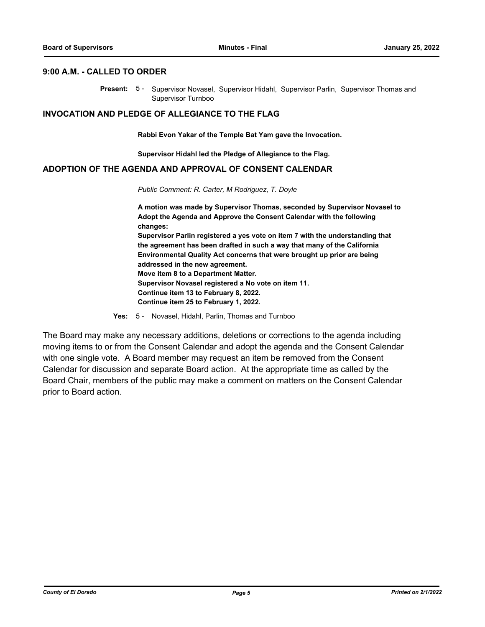#### **9:00 A.M. - CALLED TO ORDER**

Present: 5- Supervisor Novasel, Supervisor Hidahl, Supervisor Parlin, Supervisor Thomas and Supervisor Turnboo

#### **INVOCATION AND PLEDGE OF ALLEGIANCE TO THE FLAG**

**Rabbi Evon Yakar of the Temple Bat Yam gave the Invocation.**

**Supervisor Hidahl led the Pledge of Allegiance to the Flag.**

# **ADOPTION OF THE AGENDA AND APPROVAL OF CONSENT CALENDAR**

*Public Comment: R. Carter, M Rodriguez, T. Doyle*

**A motion was made by Supervisor Thomas, seconded by Supervisor Novasel to Adopt the Agenda and Approve the Consent Calendar with the following changes: Supervisor Parlin registered a yes vote on item 7 with the understanding that the agreement has been drafted in such a way that many of the California Environmental Quality Act concerns that were brought up prior are being addressed in the new agreement. Move item 8 to a Department Matter. Supervisor Novasel registered a No vote on item 11. Continue item 13 to February 8, 2022. Continue item 25 to February 1, 2022.**

**Yes:** 5 - Novasel, Hidahl, Parlin, Thomas and Turnboo

The Board may make any necessary additions, deletions or corrections to the agenda including moving items to or from the Consent Calendar and adopt the agenda and the Consent Calendar with one single vote. A Board member may request an item be removed from the Consent Calendar for discussion and separate Board action. At the appropriate time as called by the Board Chair, members of the public may make a comment on matters on the Consent Calendar prior to Board action.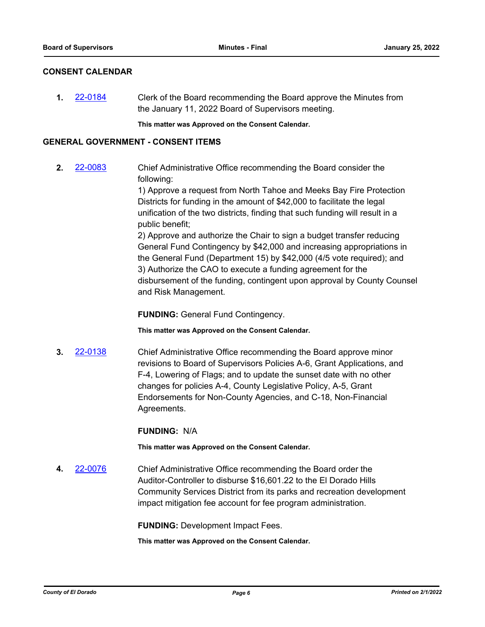# **CONSENT CALENDAR**

**1.** [22-0184](http://eldorado.legistar.com/gateway.aspx?m=l&id=/matter.aspx?key=31085) Clerk of the Board recommending the Board approve the Minutes from the January 11, 2022 Board of Supervisors meeting.

**This matter was Approved on the Consent Calendar.**

# **GENERAL GOVERNMENT - CONSENT ITEMS**

**2.** [22-0083](http://eldorado.legistar.com/gateway.aspx?m=l&id=/matter.aspx?key=30983) Chief Administrative Office recommending the Board consider the following:

> 1) Approve a request from North Tahoe and Meeks Bay Fire Protection Districts for funding in the amount of \$42,000 to facilitate the legal unification of the two districts, finding that such funding will result in a public benefit;

2) Approve and authorize the Chair to sign a budget transfer reducing General Fund Contingency by \$42,000 and increasing appropriations in the General Fund (Department 15) by \$42,000 (4/5 vote required); and 3) Authorize the CAO to execute a funding agreement for the disbursement of the funding, contingent upon approval by County Counsel and Risk Management.

**FUNDING:** General Fund Contingency.

**This matter was Approved on the Consent Calendar.**

**3.** [22-0138](http://eldorado.legistar.com/gateway.aspx?m=l&id=/matter.aspx?key=31039) Chief Administrative Office recommending the Board approve minor revisions to Board of Supervisors Policies A-6, Grant Applications, and F-4, Lowering of Flags; and to update the sunset date with no other changes for policies A-4, County Legislative Policy, A-5, Grant Endorsements for Non-County Agencies, and C-18, Non-Financial Agreements.

**FUNDING:** N/A

**This matter was Approved on the Consent Calendar.**

**4.** [22-0076](http://eldorado.legistar.com/gateway.aspx?m=l&id=/matter.aspx?key=30976) Chief Administrative Office recommending the Board order the Auditor-Controller to disburse \$16,601.22 to the El Dorado Hills Community Services District from its parks and recreation development impact mitigation fee account for fee program administration.

**FUNDING:** Development Impact Fees.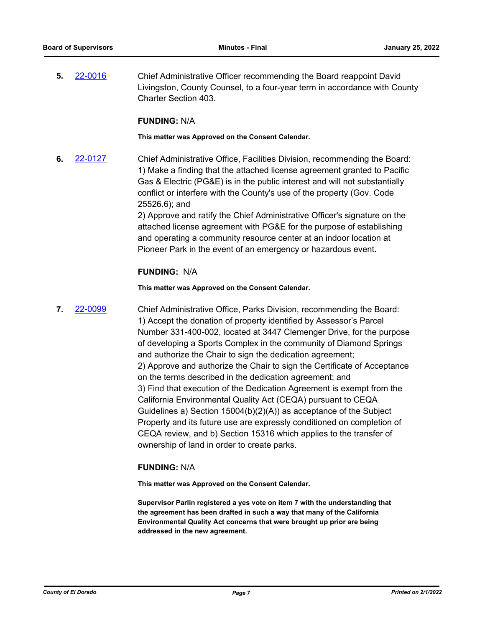**5.** [22-0016](http://eldorado.legistar.com/gateway.aspx?m=l&id=/matter.aspx?key=30916) Chief Administrative Officer recommending the Board reappoint David Livingston, County Counsel, to a four-year term in accordance with County Charter Section 403.

# **FUNDING:** N/A

**This matter was Approved on the Consent Calendar.**

**6.** [22-0127](http://eldorado.legistar.com/gateway.aspx?m=l&id=/matter.aspx?key=31028) Chief Administrative Office, Facilities Division, recommending the Board: 1) Make a finding that the attached license agreement granted to Pacific Gas & Electric (PG&E) is in the public interest and will not substantially conflict or interfere with the County's use of the property (Gov. Code 25526.6); and

> 2) Approve and ratify the Chief Administrative Officer's signature on the attached license agreement with PG&E for the purpose of establishing and operating a community resource center at an indoor location at Pioneer Park in the event of an emergency or hazardous event.

# **FUNDING:** N/A

**This matter was Approved on the Consent Calendar.**

**7.** [22-0099](http://eldorado.legistar.com/gateway.aspx?m=l&id=/matter.aspx?key=30999) Chief Administrative Office, Parks Division, recommending the Board: 1) Accept the donation of property identified by Assessor's Parcel Number 331-400-002, located at 3447 Clemenger Drive, for the purpose of developing a Sports Complex in the community of Diamond Springs and authorize the Chair to sign the dedication agreement; 2) Approve and authorize the Chair to sign the Certificate of Acceptance on the terms described in the dedication agreement; and 3) Find that execution of the Dedication Agreement is exempt from the California Environmental Quality Act (CEQA) pursuant to CEQA Guidelines a) Section 15004(b)(2)(A)) as acceptance of the Subject Property and its future use are expressly conditioned on completion of CEQA review, and b) Section 15316 which applies to the transfer of ownership of land in order to create parks.

# **FUNDING:** N/A

**This matter was Approved on the Consent Calendar.**

**Supervisor Parlin registered a yes vote on item 7 with the understanding that the agreement has been drafted in such a way that many of the California Environmental Quality Act concerns that were brought up prior are being addressed in the new agreement.**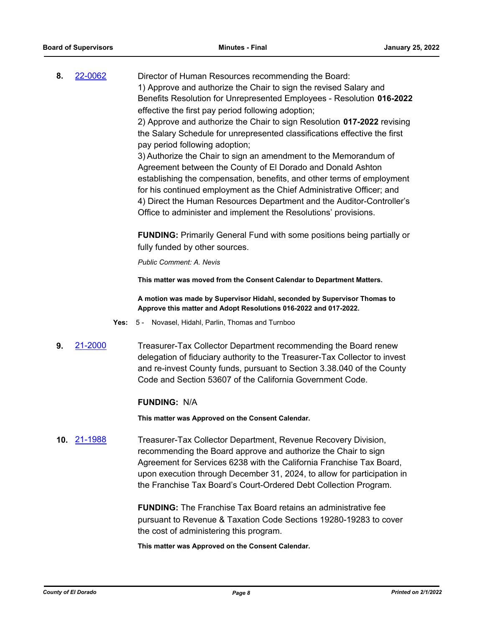**8.** [22-0062](http://eldorado.legistar.com/gateway.aspx?m=l&id=/matter.aspx?key=30962) Director of Human Resources recommending the Board: 1) Approve and authorize the Chair to sign the revised Salary and Benefits Resolution for Unrepresented Employees - Resolution **016-2022** effective the first pay period following adoption; 2) Approve and authorize the Chair to sign Resolution **017-2022** revising the Salary Schedule for unrepresented classifications effective the first pay period following adoption;

> 3) Authorize the Chair to sign an amendment to the Memorandum of Agreement between the County of El Dorado and Donald Ashton establishing the compensation, benefits, and other terms of employment for his continued employment as the Chief Administrative Officer; and 4) Direct the Human Resources Department and the Auditor-Controller's Office to administer and implement the Resolutions' provisions.

> **FUNDING:** Primarily General Fund with some positions being partially or fully funded by other sources.

*Public Comment: A. Nevis*

**This matter was moved from the Consent Calendar to Department Matters.**

**A motion was made by Supervisor Hidahl, seconded by Supervisor Thomas to Approve this matter and Adopt Resolutions 016-2022 and 017-2022.**

- **Yes:** 5 Novasel, Hidahl, Parlin, Thomas and Turnboo
- **9.** [21-2000](http://eldorado.legistar.com/gateway.aspx?m=l&id=/matter.aspx?key=30897) Treasurer-Tax Collector Department recommending the Board renew delegation of fiduciary authority to the Treasurer-Tax Collector to invest and re-invest County funds, pursuant to Section 3.38.040 of the County Code and Section 53607 of the California Government Code.

#### **FUNDING:** N/A

**This matter was Approved on the Consent Calendar.**

**10.** [21-1988](http://eldorado.legistar.com/gateway.aspx?m=l&id=/matter.aspx?key=30884) Treasurer-Tax Collector Department, Revenue Recovery Division, recommending the Board approve and authorize the Chair to sign Agreement for Services 6238 with the California Franchise Tax Board, upon execution through December 31, 2024, to allow for participation in the Franchise Tax Board's Court-Ordered Debt Collection Program.

> **FUNDING:** The Franchise Tax Board retains an administrative fee pursuant to Revenue & Taxation Code Sections 19280-19283 to cover the cost of administering this program.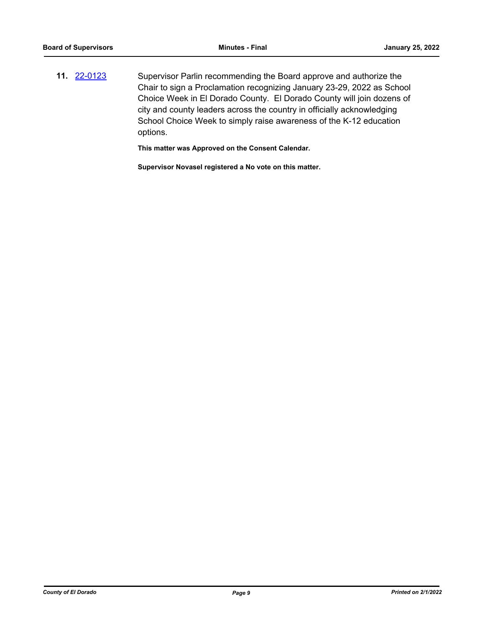**11.** [22-0123](http://eldorado.legistar.com/gateway.aspx?m=l&id=/matter.aspx?key=31024) Supervisor Parlin recommending the Board approve and authorize the Chair to sign a Proclamation recognizing January 23-29, 2022 as School Choice Week in El Dorado County. El Dorado County will join dozens of city and county leaders across the country in officially acknowledging School Choice Week to simply raise awareness of the K-12 education options.

**This matter was Approved on the Consent Calendar.**

**Supervisor Novasel registered a No vote on this matter.**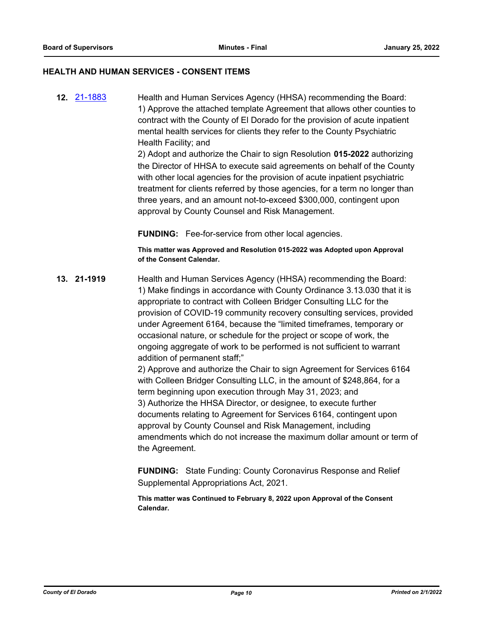#### **HEALTH AND HUMAN SERVICES - CONSENT ITEMS**

**12.** [21-1883](http://eldorado.legistar.com/gateway.aspx?m=l&id=/matter.aspx?key=30779) Health and Human Services Agency (HHSA) recommending the Board: 1) Approve the attached template Agreement that allows other counties to contract with the County of El Dorado for the provision of acute inpatient mental health services for clients they refer to the County Psychiatric Health Facility; and

> 2) Adopt and authorize the Chair to sign Resolution **015-2022** authorizing the Director of HHSA to execute said agreements on behalf of the County with other local agencies for the provision of acute inpatient psychiatric treatment for clients referred by those agencies, for a term no longer than three years, and an amount not-to-exceed \$300,000, contingent upon approval by County Counsel and Risk Management.

**FUNDING:** Fee-for-service from other local agencies.

**This matter was Approved and Resolution 015-2022 was Adopted upon Approval of the Consent Calendar.**

**13. 21-1919** Health and Human Services Agency (HHSA) recommending the Board: 1) Make findings in accordance with County Ordinance 3.13.030 that it is appropriate to contract with Colleen Bridger Consulting LLC for the provision of COVID-19 community recovery consulting services, provided under Agreement 6164, because the "limited timeframes, temporary or occasional nature, or schedule for the project or scope of work, the ongoing aggregate of work to be performed is not sufficient to warrant addition of permanent staff;"

2) Approve and authorize the Chair to sign Agreement for Services 6164 with Colleen Bridger Consulting LLC, in the amount of \$248,864, for a term beginning upon execution through May 31, 2023; and 3) Authorize the HHSA Director, or designee, to execute further documents relating to Agreement for Services 6164, contingent upon approval by County Counsel and Risk Management, including amendments which do not increase the maximum dollar amount or term of the Agreement.

**FUNDING:** State Funding: County Coronavirus Response and Relief Supplemental Appropriations Act, 2021.

**This matter was Continued to February 8, 2022 upon Approval of the Consent Calendar.**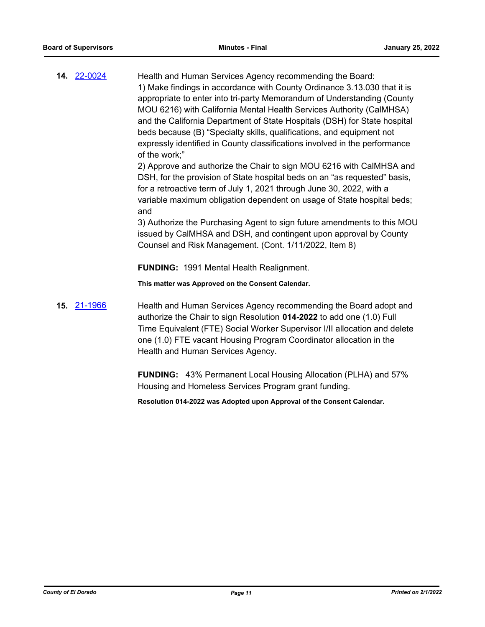| 14. 22-0024 | Health and Human Services Agency recommending the Board:<br>1) Make findings in accordance with County Ordinance 3.13.030 that it is<br>appropriate to enter into tri-party Memorandum of Understanding (County<br>MOU 6216) with California Mental Health Services Authority (CalMHSA)<br>and the California Department of State Hospitals (DSH) for State hospital<br>beds because (B) "Specialty skills, qualifications, and equipment not<br>expressly identified in County classifications involved in the performance<br>of the work;" |
|-------------|----------------------------------------------------------------------------------------------------------------------------------------------------------------------------------------------------------------------------------------------------------------------------------------------------------------------------------------------------------------------------------------------------------------------------------------------------------------------------------------------------------------------------------------------|
|             | 2) Approve and authorize the Chair to sign MOU 6216 with CalMHSA and<br>DSH, for the provision of State hospital beds on an "as requested" basis,<br>for a retroactive term of July 1, 2021 through June 30, 2022, with a<br>variable maximum obligation dependent on usage of State hospital beds;<br>and                                                                                                                                                                                                                                   |
|             | 3) Authorize the Purchasing Agent to sign future amendments to this MOU<br>issued by CalMHSA and DSH, and contingent upon approval by County<br>Counsel and Risk Management. (Cont. 1/11/2022, Item 8)                                                                                                                                                                                                                                                                                                                                       |
|             | <b>FUNDING: 1991 Mental Health Realignment.</b>                                                                                                                                                                                                                                                                                                                                                                                                                                                                                              |
|             | This matter was Approved on the Consent Calendar.                                                                                                                                                                                                                                                                                                                                                                                                                                                                                            |
| 15. 21-1966 | Health and Human Services Agency recommending the Board adopt and<br>authorize the Chair to sign Resolution 014-2022 to add one (1.0) Full                                                                                                                                                                                                                                                                                                                                                                                                   |

ign Resolution **014-2022** to add one (1.0) Full Time Equivalent (FTE) Social Worker Supervisor I/II allocation and delete one (1.0) FTE vacant Housing Program Coordinator allocation in the Health and Human Services Agency.

**FUNDING:** 43% Permanent Local Housing Allocation (PLHA) and 57% Housing and Homeless Services Program grant funding.

**Resolution 014-2022 was Adopted upon Approval of the Consent Calendar.**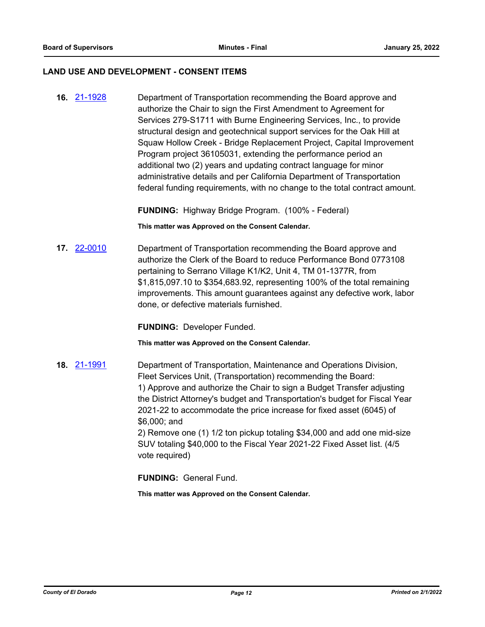#### **LAND USE AND DEVELOPMENT - CONSENT ITEMS**

**16.** [21-1928](http://eldorado.legistar.com/gateway.aspx?m=l&id=/matter.aspx?key=30824) Department of Transportation recommending the Board approve and authorize the Chair to sign the First Amendment to Agreement for Services 279-S1711 with Burne Engineering Services, Inc., to provide structural design and geotechnical support services for the Oak Hill at Squaw Hollow Creek - Bridge Replacement Project, Capital Improvement Program project 36105031, extending the performance period an additional two (2) years and updating contract language for minor administrative details and per California Department of Transportation federal funding requirements, with no change to the total contract amount.

**FUNDING:** Highway Bridge Program. (100% - Federal)

**This matter was Approved on the Consent Calendar.**

**17.** [22-0010](http://eldorado.legistar.com/gateway.aspx?m=l&id=/matter.aspx?key=30910) Department of Transportation recommending the Board approve and authorize the Clerk of the Board to reduce Performance Bond 0773108 pertaining to Serrano Village K1/K2, Unit 4, TM 01-1377R, from \$1,815,097.10 to \$354,683.92, representing 100% of the total remaining improvements. This amount guarantees against any defective work, labor done, or defective materials furnished.

**FUNDING:** Developer Funded.

**This matter was Approved on the Consent Calendar.**

**18.** [21-1991](http://eldorado.legistar.com/gateway.aspx?m=l&id=/matter.aspx?key=30887) Department of Transportation, Maintenance and Operations Division, Fleet Services Unit, (Transportation) recommending the Board: 1) Approve and authorize the Chair to sign a Budget Transfer adjusting the District Attorney's budget and Transportation's budget for Fiscal Year 2021-22 to accommodate the price increase for fixed asset (6045) of \$6,000; and 2) Remove one (1) 1/2 ton pickup totaling \$34,000 and add one mid-size

SUV totaling \$40,000 to the Fiscal Year 2021-22 Fixed Asset list. (4/5 vote required)

**FUNDING:** General Fund.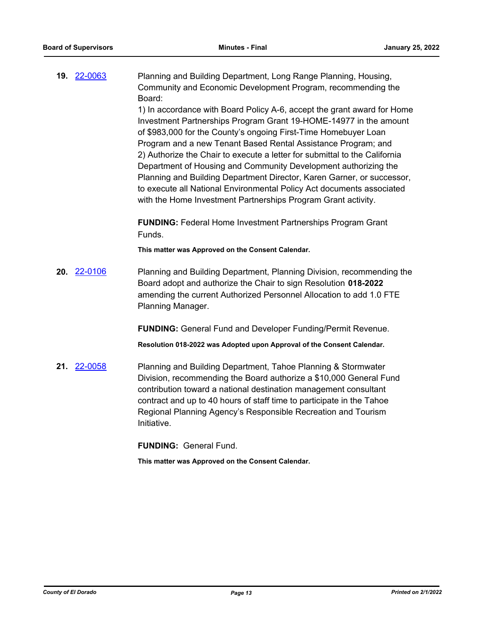**19.** [22-0063](http://eldorado.legistar.com/gateway.aspx?m=l&id=/matter.aspx?key=30963) Planning and Building Department, Long Range Planning, Housing, Community and Economic Development Program, recommending the Board:

> 1) In accordance with Board Policy A-6, accept the grant award for Home Investment Partnerships Program Grant 19-HOME-14977 in the amount of \$983,000 for the County's ongoing First-Time Homebuyer Loan Program and a new Tenant Based Rental Assistance Program; and 2) Authorize the Chair to execute a letter for submittal to the California Department of Housing and Community Development authorizing the Planning and Building Department Director, Karen Garner, or successor, to execute all National Environmental Policy Act documents associated with the Home Investment Partnerships Program Grant activity.

**FUNDING:** Federal Home Investment Partnerships Program Grant Funds.

**This matter was Approved on the Consent Calendar.**

**20.** [22-0106](http://eldorado.legistar.com/gateway.aspx?m=l&id=/matter.aspx?key=31006) Planning and Building Department, Planning Division, recommending the Board adopt and authorize the Chair to sign Resolution **018-2022** amending the current Authorized Personnel Allocation to add 1.0 FTE Planning Manager.

**FUNDING:** General Fund and Developer Funding/Permit Revenue.

**Resolution 018-2022 was Adopted upon Approval of the Consent Calendar.**

**21.** [22-0058](http://eldorado.legistar.com/gateway.aspx?m=l&id=/matter.aspx?key=30958) Planning and Building Department, Tahoe Planning & Stormwater Division, recommending the Board authorize a \$10,000 General Fund contribution toward a national destination management consultant contract and up to 40 hours of staff time to participate in the Tahoe Regional Planning Agency's Responsible Recreation and Tourism Initiative.

**FUNDING:** General Fund.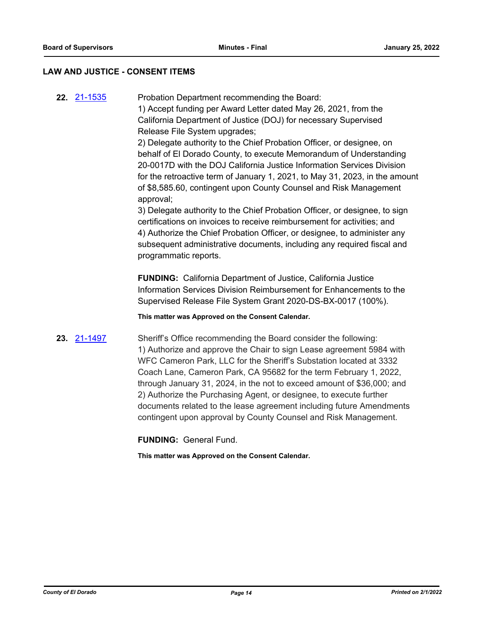# **LAW AND JUSTICE - CONSENT ITEMS**

**22.** [21-1535](http://eldorado.legistar.com/gateway.aspx?m=l&id=/matter.aspx?key=30430) Probation Department recommending the Board: 1) Accept funding per Award Letter dated May 26, 2021, from the California Department of Justice (DOJ) for necessary Supervised Release File System upgrades;

> 2) Delegate authority to the Chief Probation Officer, or designee, on behalf of El Dorado County, to execute Memorandum of Understanding 20-0017D with the DOJ California Justice Information Services Division for the retroactive term of January 1, 2021, to May 31, 2023, in the amount of \$8,585.60, contingent upon County Counsel and Risk Management approval;

3) Delegate authority to the Chief Probation Officer, or designee, to sign certifications on invoices to receive reimbursement for activities; and 4) Authorize the Chief Probation Officer, or designee, to administer any subsequent administrative documents, including any required fiscal and programmatic reports.

**FUNDING:** California Department of Justice, California Justice Information Services Division Reimbursement for Enhancements to the Supervised Release File System Grant 2020-DS-BX-0017 (100%).

**This matter was Approved on the Consent Calendar.**

**23.** [21-1497](http://eldorado.legistar.com/gateway.aspx?m=l&id=/matter.aspx?key=30392) Sheriff's Office recommending the Board consider the following: 1) Authorize and approve the Chair to sign Lease agreement 5984 with WFC Cameron Park, LLC for the Sheriff's Substation located at 3332 Coach Lane, Cameron Park, CA 95682 for the term February 1, 2022, through January 31, 2024, in the not to exceed amount of \$36,000; and 2) Authorize the Purchasing Agent, or designee, to execute further documents related to the lease agreement including future Amendments contingent upon approval by County Counsel and Risk Management.

**FUNDING:** General Fund.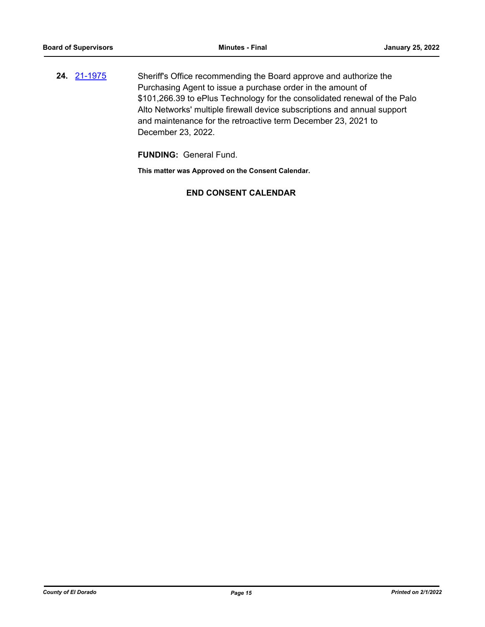**24.** [21-1975](http://eldorado.legistar.com/gateway.aspx?m=l&id=/matter.aspx?key=30871) Sheriff's Office recommending the Board approve and authorize the Purchasing Agent to issue a purchase order in the amount of \$101,266.39 to ePlus Technology for the consolidated renewal of the Palo Alto Networks' multiple firewall device subscriptions and annual support and maintenance for the retroactive term December 23, 2021 to December 23, 2022.

**FUNDING:** General Fund.

**This matter was Approved on the Consent Calendar.**

# **END CONSENT CALENDAR**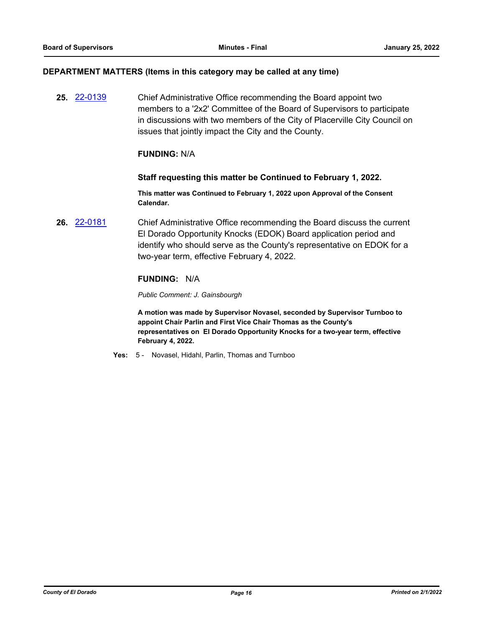#### **DEPARTMENT MATTERS (Items in this category may be called at any time)**

**25.** [22-0139](http://eldorado.legistar.com/gateway.aspx?m=l&id=/matter.aspx?key=31040) Chief Administrative Office recommending the Board appoint two members to a '2x2' Committee of the Board of Supervisors to participate in discussions with two members of the City of Placerville City Council on issues that jointly impact the City and the County.

# **FUNDING:** N/A

#### **Staff requesting this matter be Continued to February 1, 2022.**

**This matter was Continued to February 1, 2022 upon Approval of the Consent Calendar.**

**26.** [22-0181](http://eldorado.legistar.com/gateway.aspx?m=l&id=/matter.aspx?key=31082) Chief Administrative Office recommending the Board discuss the current El Dorado Opportunity Knocks (EDOK) Board application period and identify who should serve as the County's representative on EDOK for a two-year term, effective February 4, 2022.

# **FUNDING:** N/A

*Public Comment: J. Gainsbourgh*

**A motion was made by Supervisor Novasel, seconded by Supervisor Turnboo to appoint Chair Parlin and First Vice Chair Thomas as the County's representatives on El Dorado Opportunity Knocks for a two-year term, effective February 4, 2022.**

**Yes:** 5 - Novasel, Hidahl, Parlin, Thomas and Turnboo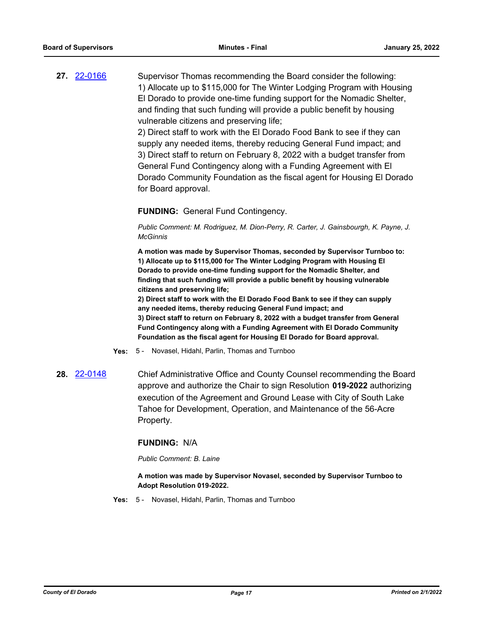**27.** [22-0166](http://eldorado.legistar.com/gateway.aspx?m=l&id=/matter.aspx?key=31067) Supervisor Thomas recommending the Board consider the following: 1) Allocate up to \$115,000 for The Winter Lodging Program with Housing El Dorado to provide one-time funding support for the Nomadic Shelter, and finding that such funding will provide a public benefit by housing vulnerable citizens and preserving life;

> 2) Direct staff to work with the El Dorado Food Bank to see if they can supply any needed items, thereby reducing General Fund impact; and 3) Direct staff to return on February 8, 2022 with a budget transfer from General Fund Contingency along with a Funding Agreement with El Dorado Community Foundation as the fiscal agent for Housing El Dorado for Board approval.

# **FUNDING:** General Fund Contingency.

*Public Comment: M. Rodriguez, M. Dion-Perry, R. Carter, J. Gainsbourgh, K. Payne, J. McGinnis*

**A motion was made by Supervisor Thomas, seconded by Supervisor Turnboo to: 1) Allocate up to \$115,000 for The Winter Lodging Program with Housing El Dorado to provide one-time funding support for the Nomadic Shelter, and finding that such funding will provide a public benefit by housing vulnerable citizens and preserving life;** 

**2) Direct staff to work with the El Dorado Food Bank to see if they can supply any needed items, thereby reducing General Fund impact; and 3) Direct staff to return on February 8, 2022 with a budget transfer from General Fund Contingency along with a Funding Agreement with El Dorado Community Foundation as the fiscal agent for Housing El Dorado for Board approval.**

- **Yes:** 5 Novasel, Hidahl, Parlin, Thomas and Turnboo
- **28.** [22-0148](http://eldorado.legistar.com/gateway.aspx?m=l&id=/matter.aspx?key=31049) Chief Administrative Office and County Counsel recommending the Board approve and authorize the Chair to sign Resolution **019-2022** authorizing execution of the Agreement and Ground Lease with City of South Lake Tahoe for Development, Operation, and Maintenance of the 56-Acre Property.

#### **FUNDING:** N/A

*Public Comment: B. Laine*

#### **A motion was made by Supervisor Novasel, seconded by Supervisor Turnboo to Adopt Resolution 019-2022.**

**Yes:** 5 - Novasel, Hidahl, Parlin, Thomas and Turnboo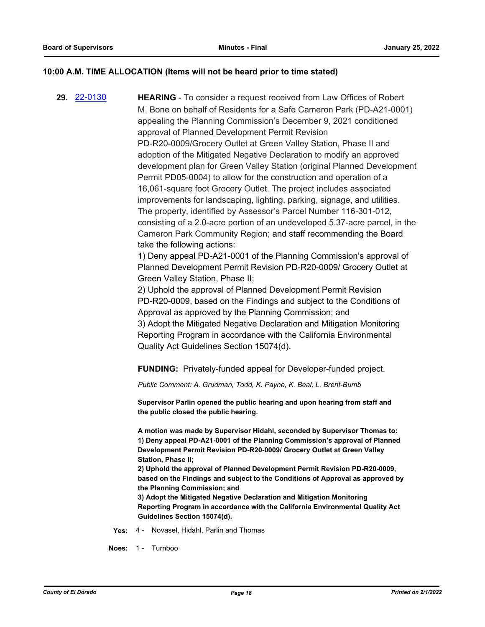# **10:00 A.M. TIME ALLOCATION (Items will not be heard prior to time stated)**

**29.** [22-0130](http://eldorado.legistar.com/gateway.aspx?m=l&id=/matter.aspx?key=31031) **HEARING** - To consider a request received from Law Offices of Robert M. Bone on behalf of Residents for a Safe Cameron Park (PD-A21-0001) appealing the Planning Commission's December 9, 2021 conditioned approval of Planned Development Permit Revision PD-R20-0009/Grocery Outlet at Green Valley Station, Phase II and adoption of the Mitigated Negative Declaration to modify an approved development plan for Green Valley Station (original Planned Development Permit PD05-0004) to allow for the construction and operation of a 16,061-square foot Grocery Outlet. The project includes associated improvements for landscaping, lighting, parking, signage, and utilities. The property, identified by Assessor's Parcel Number 116-301-012, consisting of a 2.0-acre portion of an undeveloped 5.37-acre parcel, in the Cameron Park Community Region; and staff recommending the Board take the following actions: 1) Deny appeal PD-A21-0001 of the Planning Commission's approval of Planned Development Permit Revision PD-R20-0009/ Grocery Outlet at Green Valley Station, Phase II; 2) Uphold the approval of Planned Development Permit Revision PD-R20-0009, based on the Findings and subject to the Conditions of Approval as approved by the Planning Commission; and 3) Adopt the Mitigated Negative Declaration and Mitigation Monitoring Reporting Program in accordance with the California Environmental Quality Act Guidelines Section 15074(d). **FUNDING:** Privately-funded appeal for Developer-funded project. *Public Comment: A. Grudman, Todd, K. Payne, K. Beal, L. Brent-Bumb* **Supervisor Parlin opened the public hearing and upon hearing from staff and the public closed the public hearing. A motion was made by Supervisor Hidahl, seconded by Supervisor Thomas to:**

**1) Deny appeal PD-A21-0001 of the Planning Commission's approval of Planned Development Permit Revision PD-R20-0009/ Grocery Outlet at Green Valley Station, Phase II;**

**2) Uphold the approval of Planned Development Permit Revision PD-R20-0009, based on the Findings and subject to the Conditions of Approval as approved by the Planning Commission; and**

**3) Adopt the Mitigated Negative Declaration and Mitigation Monitoring Reporting Program in accordance with the California Environmental Quality Act Guidelines Section 15074(d).**

**Yes:** 4 - Novasel, Hidahl, Parlin and Thomas

**Noes:** 1 - Turnboo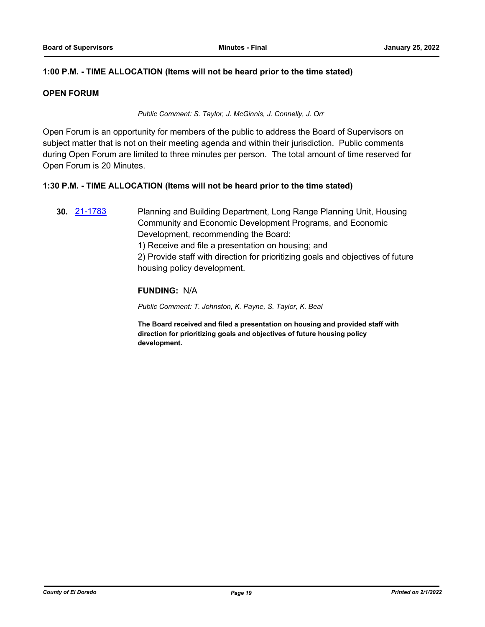# **1:00 P.M. - TIME ALLOCATION (Items will not be heard prior to the time stated)**

# **OPEN FORUM**

*Public Comment: S. Taylor, J. McGinnis, J. Connelly, J. Orr*

Open Forum is an opportunity for members of the public to address the Board of Supervisors on subject matter that is not on their meeting agenda and within their jurisdiction. Public comments during Open Forum are limited to three minutes per person. The total amount of time reserved for Open Forum is 20 Minutes.

# **1:30 P.M. - TIME ALLOCATION (Items will not be heard prior to the time stated)**

**30.** [21-1783](http://eldorado.legistar.com/gateway.aspx?m=l&id=/matter.aspx?key=30679) Planning and Building Department, Long Range Planning Unit, Housing Community and Economic Development Programs, and Economic Development, recommending the Board:

1) Receive and file a presentation on housing; and

2) Provide staff with direction for prioritizing goals and objectives of future housing policy development.

# **FUNDING:** N/A

*Public Comment: T. Johnston, K. Payne, S. Taylor, K. Beal*

**The Board received and filed a presentation on housing and provided staff with direction for prioritizing goals and objectives of future housing policy development.**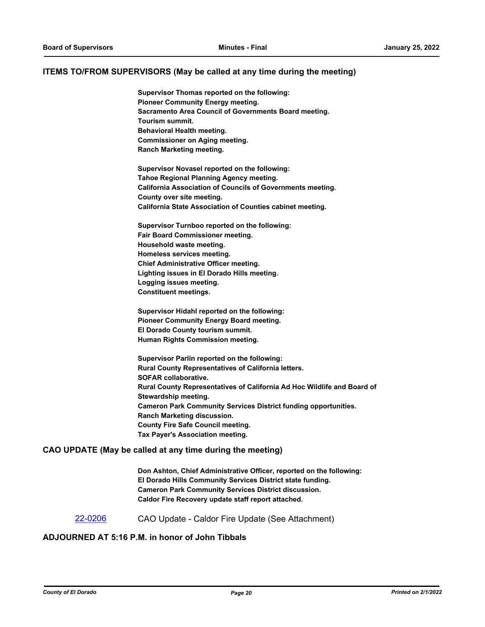#### **ITEMS TO/FROM SUPERVISORS (May be called at any time during the meeting)**

**Supervisor Thomas reported on the following: Pioneer Community Energy meeting. Sacramento Area Council of Governments Board meeting. Tourism summit. Behavioral Health meeting. Commissioner on Aging meeting. Ranch Marketing meeting.**

**Supervisor Novasel reported on the following: Tahoe Regional Planning Agency meeting. California Association of Councils of Governments meeting. County over site meeting. California State Association of Counties cabinet meeting.**

**Supervisor Turnboo reported on the following: Fair Board Commissioner meeting. Household waste meeting. Homeless services meeting. Chief Administrative Officer meeting. Lighting issues in El Dorado Hills meeting. Logging issues meeting. Constituent meetings.**

**Supervisor Hidahl reported on the following: Pioneer Community Energy Board meeting. El Dorado County tourism summit. Human Rights Commission meeting.**

**Supervisor Parlin reported on the following: Rural County Representatives of California letters. SOFAR collaborative. Rural County Representatives of California Ad Hoc Wildlife and Board of Stewardship meeting. Cameron Park Community Services District funding opportunities. Ranch Marketing discussion. County Fire Safe Council meeting. Tax Payer's Association meeting.**

#### **CAO UPDATE (May be called at any time during the meeting)**

**Don Ashton, Chief Administrative Officer, reported on the following: El Dorado Hills Community Services District state funding. Cameron Park Community Services District discussion. Caldor Fire Recovery update staff report attached.**

[22-0206](http://eldorado.legistar.com/gateway.aspx?m=l&id=/matter.aspx?key=31107) CAO Update - Caldor Fire Update (See Attachment)

#### **ADJOURNED AT 5:16 P.M. in honor of John Tibbals**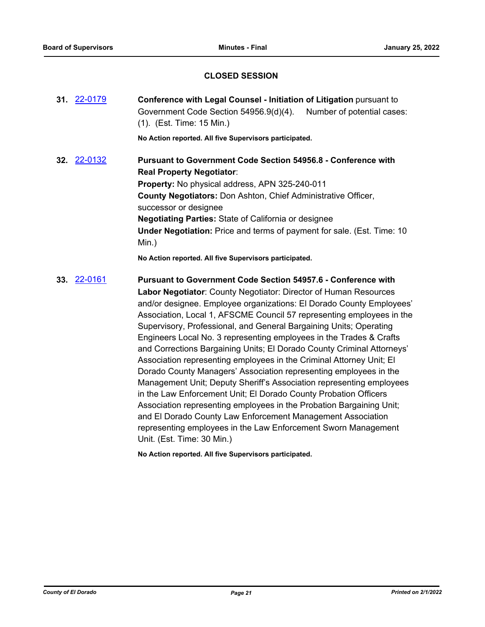# **CLOSED SESSION**

| 31. 22-0179        | <b>Conference with Legal Counsel - Initiation of Litigation pursuant to</b><br>Government Code Section 54956.9(d)(4).<br>Number of potential cases:<br>$(1)$ . (Est. Time: 15 Min.)                                                                                                                                                                                                                                         |
|--------------------|-----------------------------------------------------------------------------------------------------------------------------------------------------------------------------------------------------------------------------------------------------------------------------------------------------------------------------------------------------------------------------------------------------------------------------|
|                    | No Action reported. All five Supervisors participated.                                                                                                                                                                                                                                                                                                                                                                      |
| <b>32.</b> 22-0132 | <b>Pursuant to Government Code Section 54956.8 - Conference with</b><br><b>Real Property Negotiator:</b><br><b>Property:</b> No physical address, APN 325-240-011<br><b>County Negotiators: Don Ashton, Chief Administrative Officer,</b><br>successor or designee<br><b>Negotiating Parties: State of California or designee</b><br><b>Under Negotiation:</b> Price and terms of payment for sale. (Est. Time: 10<br>Min.) |
|                    | No Action reported. All five Supervisors participated.                                                                                                                                                                                                                                                                                                                                                                      |
| <b>33.</b> 22-0161 | <b>Pursuant to Government Code Section 54957.6 - Conference with</b><br><b>Labor Negotiator:</b> County Negotiator: Director of Human Resources<br>and/or designee. Employee organizations: El Dorado County Employees'<br>Association, Local 1, AFSCME Council 57 representing employees in the                                                                                                                            |

Supervisory, Professional, and General Bargaining Units; Operating Engineers Local No. 3 representing employees in the Trades & Crafts and Corrections Bargaining Units; El Dorado County Criminal Attorneys' Association representing employees in the Criminal Attorney Unit; El Dorado County Managers' Association representing employees in the Management Unit; Deputy Sheriff's Association representing employees in the Law Enforcement Unit; El Dorado County Probation Officers Association representing employees in the Probation Bargaining Unit; and El Dorado County Law Enforcement Management Association representing employees in the Law Enforcement Sworn Management Unit. (Est. Time: 30 Min.)

**No Action reported. All five Supervisors participated.**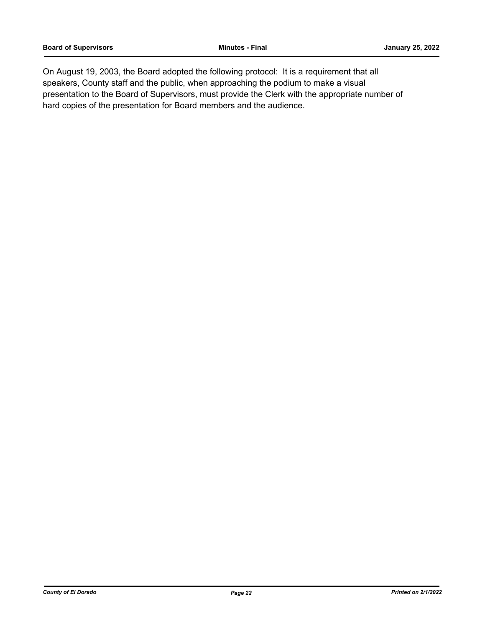On August 19, 2003, the Board adopted the following protocol: It is a requirement that all speakers, County staff and the public, when approaching the podium to make a visual presentation to the Board of Supervisors, must provide the Clerk with the appropriate number of hard copies of the presentation for Board members and the audience.